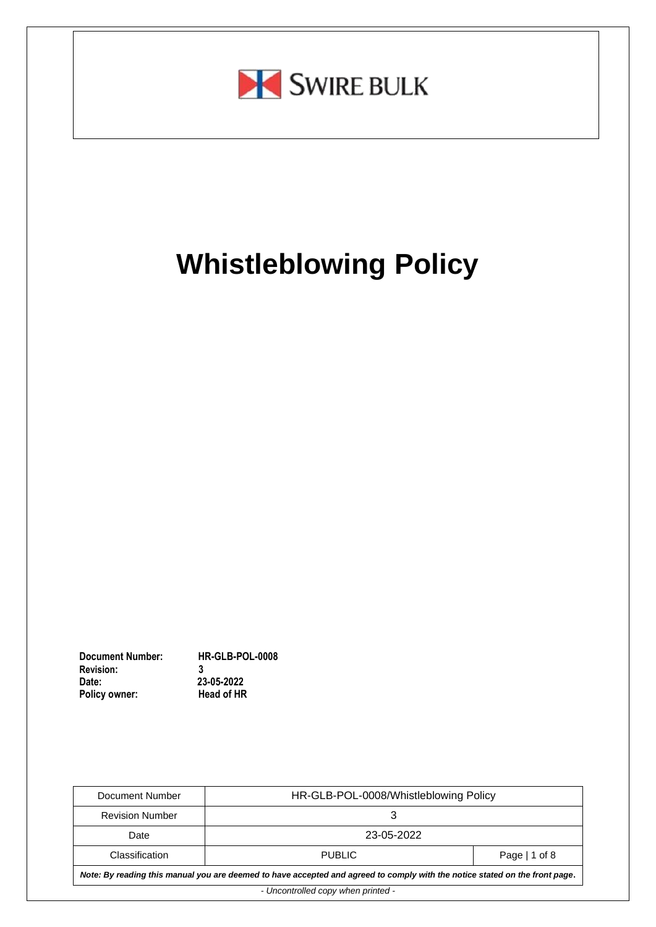

# **Whistleblowing Policy**

**Document Number: HR-GLB-POL-0008 Revision:**<br>Date: 23-05-2022<br>**Head of HR Policy owner:** 

| Document Number                                                                                                             | HR-GLB-POL-0008/Whistleblowing Policy |  |  |
|-----------------------------------------------------------------------------------------------------------------------------|---------------------------------------|--|--|
| <b>Revision Number</b>                                                                                                      |                                       |  |  |
| Date                                                                                                                        | 23-05-2022                            |  |  |
| Classification                                                                                                              | Page   1 of 8<br>PUBLIC.              |  |  |
| Note: By reading this manual you are deemed to have accepted and agreed to comply with the notice stated on the front page. |                                       |  |  |
| - Uncontrolled copy when printed -                                                                                          |                                       |  |  |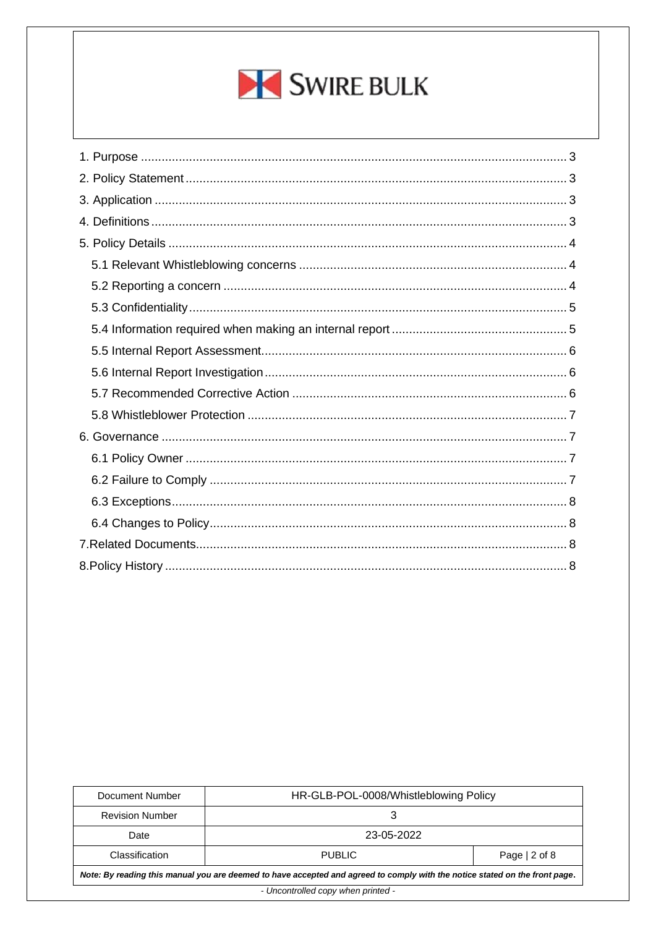

| Document Number                                                                                                             | HR-GLB-POL-0008/Whistleblowing Policy |                |  |
|-----------------------------------------------------------------------------------------------------------------------------|---------------------------------------|----------------|--|
| <b>Revision Number</b>                                                                                                      |                                       |                |  |
| Date                                                                                                                        | 23-05-2022                            |                |  |
| Classification                                                                                                              | <b>PUBLIC</b>                         | Page $ 2$ of 8 |  |
| Note: By reading this manual you are deemed to have accepted and agreed to comply with the notice stated on the front page. |                                       |                |  |
| - Uncontrolled copy when printed -                                                                                          |                                       |                |  |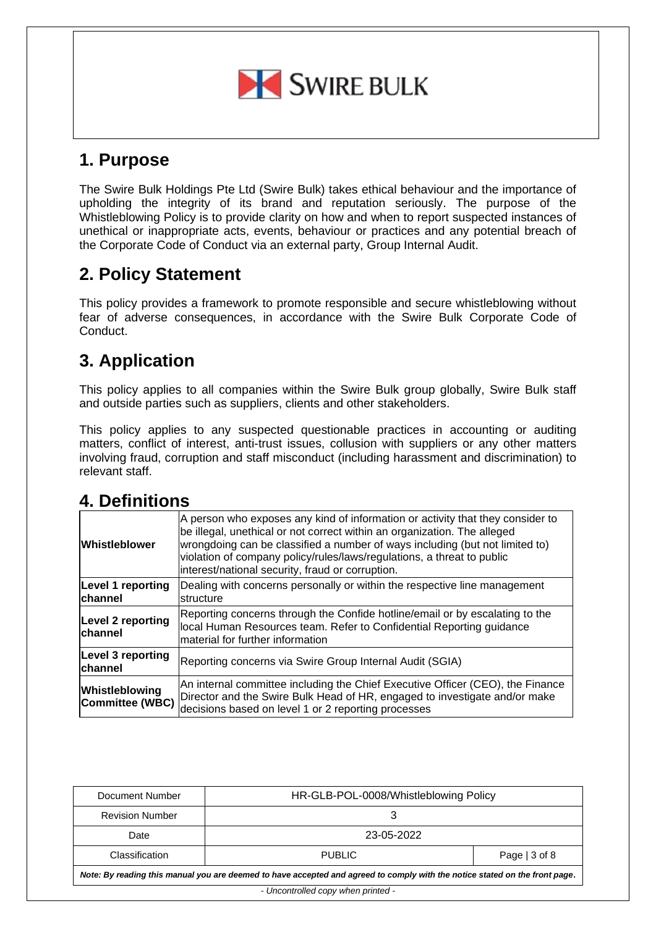

## <span id="page-2-0"></span>**1. Purpose**

The Swire Bulk Holdings Pte Ltd (Swire Bulk) takes ethical behaviour and the importance of upholding the integrity of its brand and reputation seriously. The purpose of the Whistleblowing Policy is to provide clarity on how and when to report suspected instances of unethical or inappropriate acts, events, behaviour or practices and any potential breach of the Corporate Code of Conduct via an external party, Group Internal Audit.

# <span id="page-2-1"></span>**2. Policy Statement**

This policy provides a framework to promote responsible and secure whistleblowing without fear of adverse consequences, in accordance with the Swire Bulk Corporate Code of Conduct.

# <span id="page-2-2"></span>**3. Application**

This policy applies to all companies within the Swire Bulk group globally, Swire Bulk staff and outside parties such as suppliers, clients and other stakeholders.

This policy applies to any suspected questionable practices in accounting or auditing matters, conflict of interest, anti-trust issues, collusion with suppliers or any other matters involving fraud, corruption and staff misconduct (including harassment and discrimination) to relevant staff.

## <span id="page-2-3"></span>**4. Definitions**

| <b>Whistleblower</b>                | A person who exposes any kind of information or activity that they consider to<br>be illegal, unethical or not correct within an organization. The alleged<br>wrongdoing can be classified a number of ways including (but not limited to)<br>violation of company policy/rules/laws/regulations, a threat to public<br>interest/national security, fraud or corruption. |
|-------------------------------------|--------------------------------------------------------------------------------------------------------------------------------------------------------------------------------------------------------------------------------------------------------------------------------------------------------------------------------------------------------------------------|
| Level 1 reporting<br>channel        | Dealing with concerns personally or within the respective line management<br><b>Istructure</b>                                                                                                                                                                                                                                                                           |
| <b>Level 2 reporting</b><br>channel | Reporting concerns through the Confide hotline/email or by escalating to the<br>local Human Resources team. Refer to Confidential Reporting guidance<br>Imaterial for further information                                                                                                                                                                                |
| Level 3 reporting<br>channel        | Reporting concerns via Swire Group Internal Audit (SGIA)                                                                                                                                                                                                                                                                                                                 |
| Whistleblowing<br>Committee (WBC)   | An internal committee including the Chief Executive Officer (CEO), the Finance<br>Director and the Swire Bulk Head of HR, engaged to investigate and/or make<br>decisions based on level 1 or 2 reporting processes                                                                                                                                                      |

| Document Number                                                                                                             | HR-GLB-POL-0008/Whistleblowing Policy |                |
|-----------------------------------------------------------------------------------------------------------------------------|---------------------------------------|----------------|
| <b>Revision Number</b>                                                                                                      |                                       |                |
| Date                                                                                                                        | 23-05-2022                            |                |
| Classification                                                                                                              | <b>PUBLIC</b>                         | Page $ 3$ of 8 |
| Note: By reading this manual you are deemed to have accepted and agreed to comply with the notice stated on the front page. |                                       |                |
| - Uncontrolled copy when printed -                                                                                          |                                       |                |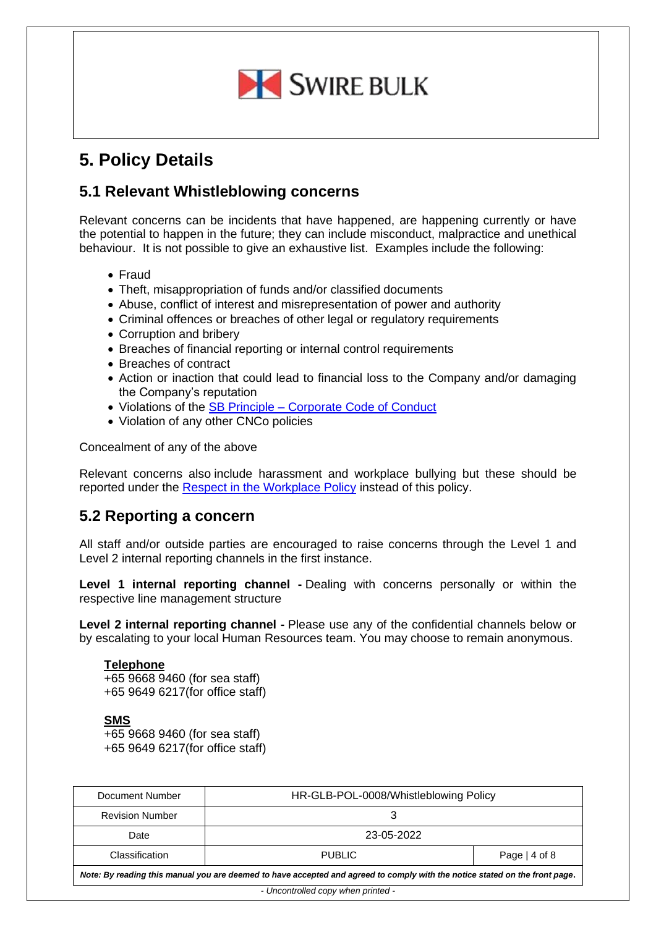

# <span id="page-3-0"></span>**5. Policy Details**

#### <span id="page-3-1"></span>**5.1 Relevant Whistleblowing concerns**

Relevant concerns can be incidents that have happened, are happening currently or have the potential to happen in the future; they can include misconduct, malpractice and unethical behaviour. It is not possible to give an exhaustive list. Examples include the following:

- Fraud
- Theft, misappropriation of funds and/or classified documents
- Abuse, conflict of interest and misrepresentation of power and authority
- Criminal offences or breaches of other legal or regulatory requirements
- Corruption and bribery
- Breaches of financial reporting or internal control requirements
- Breaches of contract
- Action or inaction that could lead to financial loss to the Company and/or damaging the Company's reputation
- Violations of the SB Principle [Corporate Code of Conduct](https://swirebulk.sharepoint.com/sites/sbcgs/CGS/SitePages/GovernanceDocuments_PreviewPage.aspx?DocID=11)
- Violation of any other CNCo policies

Concealment of any of the above

Relevant concerns also include harassment and workplace bullying but these should be reported under the [Respect in the Workplace Policy](https://swirebulk.sharepoint.com/sites/sbcgs/CGS/SitePages/CorporatePolicy_PreviewPage.aspx?DocID=51) instead of this policy.

#### <span id="page-3-2"></span>**5.2 Reporting a concern**

All staff and/or outside parties are encouraged to raise concerns through the Level 1 and Level 2 internal reporting channels in the first instance.

**Level 1 internal reporting channel -** Dealing with concerns personally or within the respective line management structure

**Level 2 internal reporting channel -** Please use any of the confidential channels below or by escalating to your local Human Resources team. You may choose to remain anonymous.

#### **Telephone**

+65 9668 9460 (for sea staff) +65 9649 6217(for office staff)

#### **SMS**

+65 9668 9460 (for sea staff) +65 9649 6217(for office staff)

| Document Number                                                                                                             | HR-GLB-POL-0008/Whistleblowing Policy |                |
|-----------------------------------------------------------------------------------------------------------------------------|---------------------------------------|----------------|
| <b>Revision Number</b>                                                                                                      |                                       |                |
| Date                                                                                                                        | 23-05-2022                            |                |
| Classification                                                                                                              | <b>PUBLIC</b>                         | Page $ 4$ of 8 |
| Note: By reading this manual you are deemed to have accepted and agreed to comply with the notice stated on the front page. |                                       |                |
| - Uncontrolled copy when printed -                                                                                          |                                       |                |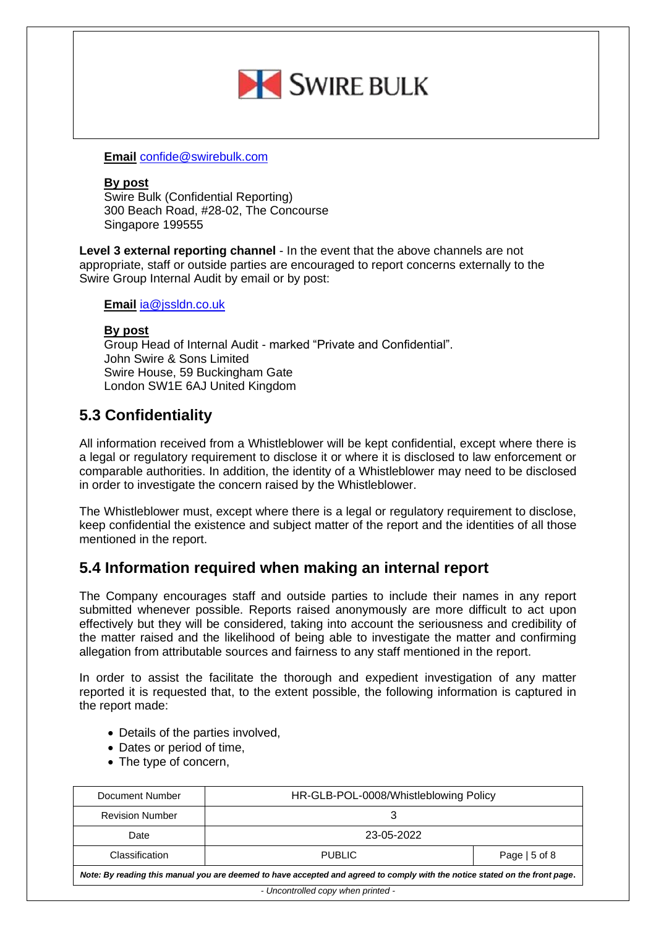

**Email** [confide@swirebulk.com](https://swirecnco.com/)

#### **By post**

Swire Bulk (Confidential Reporting) 300 Beach Road, #28-02, The Concourse Singapore 199555

**Level 3 external reporting channel** - In the event that the above channels are not appropriate, staff or outside parties are encouraged to report concerns externally to the Swire Group Internal Audit by email or by post:

#### **Email** [ia@jssldn.co.uk](https://jsshk.com/)

#### **By post**

Group Head of Internal Audit - marked "Private and Confidential". John Swire & Sons Limited Swire House, 59 Buckingham Gate London SW1E 6AJ United Kingdom

#### <span id="page-4-0"></span>**5.3 Confidentiality**

All information received from a Whistleblower will be kept confidential, except where there is a legal or regulatory requirement to disclose it or where it is disclosed to law enforcement or comparable authorities. In addition, the identity of a Whistleblower may need to be disclosed in order to investigate the concern raised by the Whistleblower.

The Whistleblower must, except where there is a legal or regulatory requirement to disclose, keep confidential the existence and subject matter of the report and the identities of all those mentioned in the report.

#### <span id="page-4-1"></span>**5.4 Information required when making an internal report**

The Company encourages staff and outside parties to include their names in any report submitted whenever possible. Reports raised anonymously are more difficult to act upon effectively but they will be considered, taking into account the seriousness and credibility of the matter raised and the likelihood of being able to investigate the matter and confirming allegation from attributable sources and fairness to any staff mentioned in the report.

In order to assist the facilitate the thorough and expedient investigation of any matter reported it is requested that, to the extent possible, the following information is captured in the report made:

- Details of the parties involved,
- Dates or period of time,
- The type of concern,

| Document Number                                                                                                             | HR-GLB-POL-0008/Whistleblowing Policy |                |  |
|-----------------------------------------------------------------------------------------------------------------------------|---------------------------------------|----------------|--|
| <b>Revision Number</b>                                                                                                      |                                       |                |  |
| Date                                                                                                                        | 23-05-2022                            |                |  |
| Classification                                                                                                              | <b>PUBLIC</b>                         | Page $ 5$ of 8 |  |
| Note: By reading this manual you are deemed to have accepted and agreed to comply with the notice stated on the front page. |                                       |                |  |
| - Uncontrolled copy when printed -                                                                                          |                                       |                |  |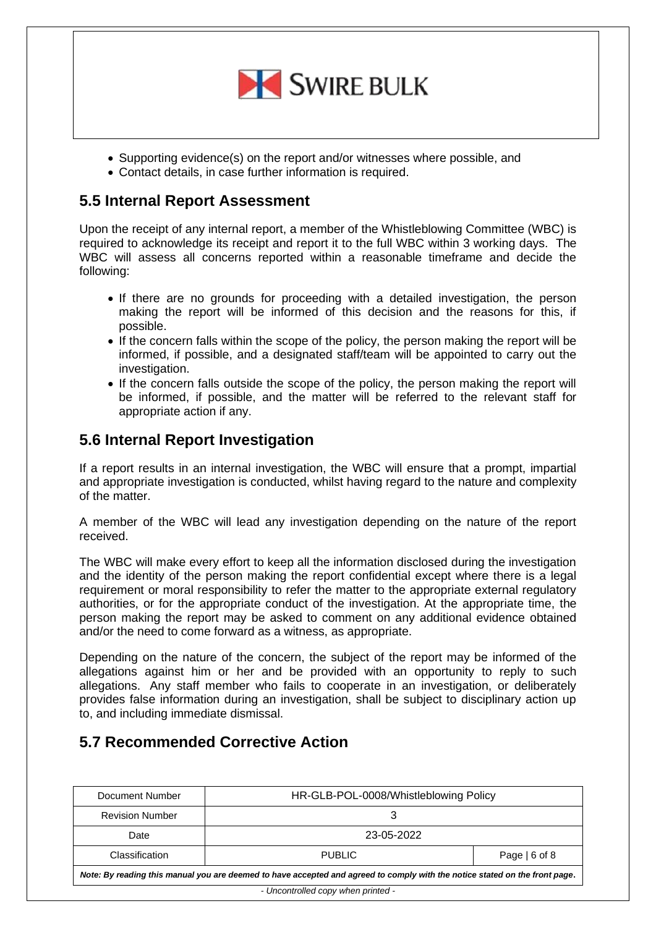

- Supporting evidence(s) on the report and/or witnesses where possible, and
- Contact details, in case further information is required.

## <span id="page-5-0"></span>**5.5 Internal Report Assessment**

Upon the receipt of any internal report, a member of the Whistleblowing Committee (WBC) is required to acknowledge its receipt and report it to the full WBC within 3 working days. The WBC will assess all concerns reported within a reasonable timeframe and decide the following:

- If there are no grounds for proceeding with a detailed investigation, the person making the report will be informed of this decision and the reasons for this, if possible.
- If the concern falls within the scope of the policy, the person making the report will be informed, if possible, and a designated staff/team will be appointed to carry out the investigation.
- If the concern falls outside the scope of the policy, the person making the report will be informed, if possible, and the matter will be referred to the relevant staff for appropriate action if any.

#### <span id="page-5-1"></span>**5.6 Internal Report Investigation**

If a report results in an internal investigation, the WBC will ensure that a prompt, impartial and appropriate investigation is conducted, whilst having regard to the nature and complexity of the matter.

A member of the WBC will lead any investigation depending on the nature of the report received.

The WBC will make every effort to keep all the information disclosed during the investigation and the identity of the person making the report confidential except where there is a legal requirement or moral responsibility to refer the matter to the appropriate external regulatory authorities, or for the appropriate conduct of the investigation. At the appropriate time, the person making the report may be asked to comment on any additional evidence obtained and/or the need to come forward as a witness, as appropriate.

Depending on the nature of the concern, the subject of the report may be informed of the allegations against him or her and be provided with an opportunity to reply to such allegations. Any staff member who fails to cooperate in an investigation, or deliberately provides false information during an investigation, shall be subject to disciplinary action up to, and including immediate dismissal.

#### <span id="page-5-2"></span>**5.7 Recommended Corrective Action**

| Document Number                                                                                                             | HR-GLB-POL-0008/Whistleblowing Policy |                |
|-----------------------------------------------------------------------------------------------------------------------------|---------------------------------------|----------------|
| <b>Revision Number</b>                                                                                                      |                                       |                |
| Date                                                                                                                        | 23-05-2022                            |                |
| Classification                                                                                                              | <b>PUBLIC</b>                         | Page $ 6$ of 8 |
| Note: By reading this manual you are deemed to have accepted and agreed to comply with the notice stated on the front page. |                                       |                |
| - Uncontrolled copy when printed -                                                                                          |                                       |                |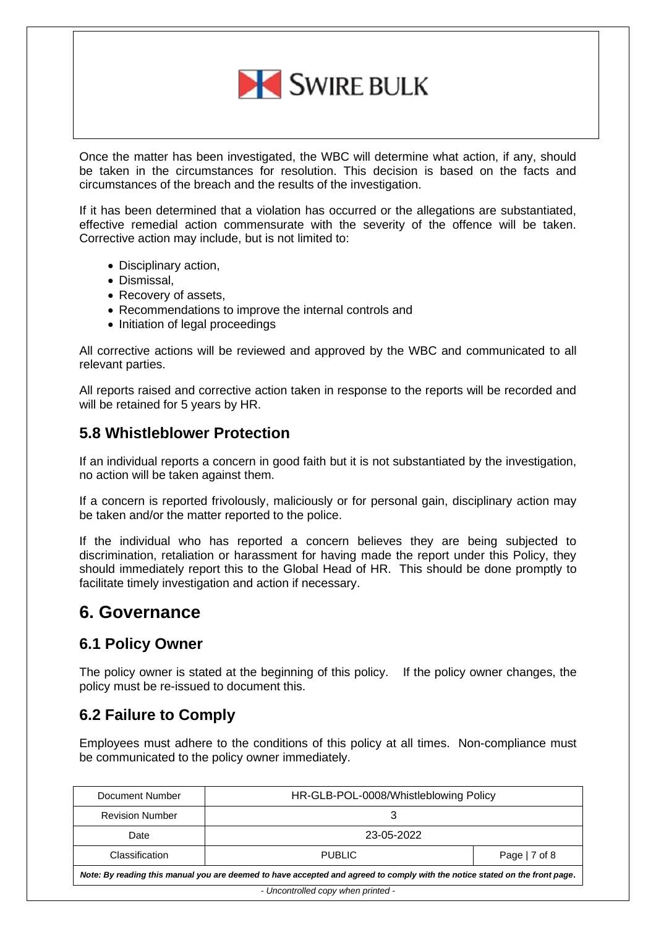

Once the matter has been investigated, the WBC will determine what action, if any, should be taken in the circumstances for resolution. This decision is based on the facts and circumstances of the breach and the results of the investigation.

If it has been determined that a violation has occurred or the allegations are substantiated, effective remedial action commensurate with the severity of the offence will be taken. Corrective action may include, but is not limited to:

- Disciplinary action,
- Dismissal,
- Recovery of assets,
- Recommendations to improve the internal controls and
- Initiation of legal proceedings

All corrective actions will be reviewed and approved by the WBC and communicated to all relevant parties.

All reports raised and corrective action taken in response to the reports will be recorded and will be retained for 5 years by HR.

#### <span id="page-6-0"></span>**5.8 Whistleblower Protection**

If an individual reports a concern in good faith but it is not substantiated by the investigation, no action will be taken against them.

If a concern is reported frivolously, maliciously or for personal gain, disciplinary action may be taken and/or the matter reported to the police.

If the individual who has reported a concern believes they are being subjected to discrimination, retaliation or harassment for having made the report under this Policy, they should immediately report this to the Global Head of HR. This should be done promptly to facilitate timely investigation and action if necessary.

## <span id="page-6-1"></span>**6. Governance**

#### <span id="page-6-2"></span>**6.1 Policy Owner**

The policy owner is stated at the beginning of this policy. If the policy owner changes, the policy must be re-issued to document this.

#### <span id="page-6-3"></span>**6.2 Failure to Comply**

Employees must adhere to the conditions of this policy at all times. Non-compliance must be communicated to the policy owner immediately.

| Document Number                                                                                                             | HR-GLB-POL-0008/Whistleblowing Policy |                |
|-----------------------------------------------------------------------------------------------------------------------------|---------------------------------------|----------------|
| <b>Revision Number</b>                                                                                                      |                                       |                |
| Date                                                                                                                        | 23-05-2022                            |                |
| Classification                                                                                                              | <b>PUBLIC</b>                         | Page $ 7$ of 8 |
| Note: By reading this manual you are deemed to have accepted and agreed to comply with the notice stated on the front page. |                                       |                |
| - Uncontrolled copy when printed -                                                                                          |                                       |                |